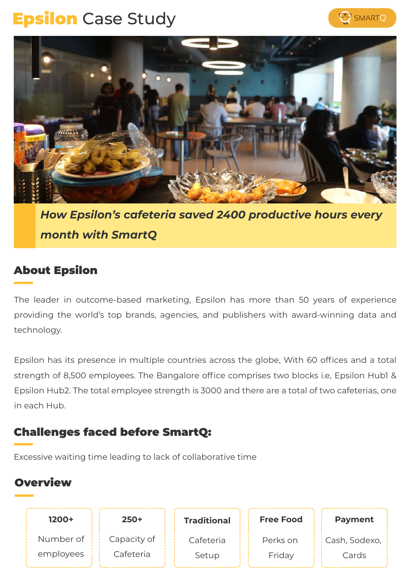# **Epsilon** Case Study





*How Epsilon's cafeteria saved 2400 productive hours every month with SmartQ*

# About Epsilon

The leader in outcome-based marketing, Epsilon has more than 50 years of experience providing the world's top brands, agencies, and publishers with award-winning data and technology.

Epsilon has its presence in multiple countries across the globe, With 60 offices and a total strength of 8,500 employees. The Bangalore office comprises two blocks i.e, Epsilon Hub1 & Epsilon Hub2. The total employee strength is 3000 and there are a total of two cafeterias, one in each Hub.

# Challenges faced before SmartQ:

Excessive waiting time leading to lack of collaborative time

# **Overview**

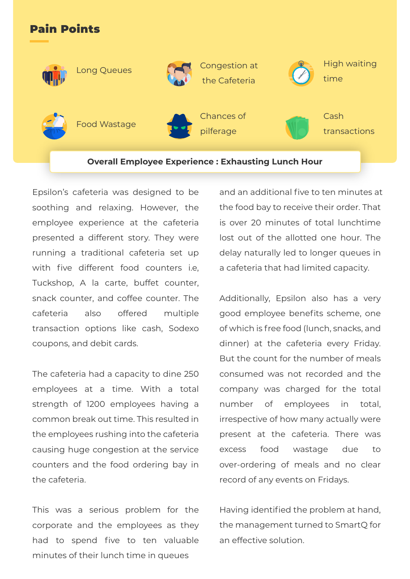### Pain Points



Epsilon's cafeteria was designed to be soothing and relaxing. However, the employee experience at the cafeteria presented a different story. They were running a traditional cafeteria set up with five different food counters i.e. Tuckshop, A la carte, buffet counter, snack counter, and coffee counter. The cafeteria also offered multiple transaction options like cash, Sodexo coupons, and debit cards.

The cafeteria had a capacity to dine 250 employees at a time. With a total strength of 1200 employees having a common break out time. This resulted in the employees rushing into the cafeteria causing huge congestion at the service counters and the food ordering bay in the cafeteria.

This was a serious problem for the corporate and the employees as they had to spend five to ten valuable minutes of their lunch time in queues

and an additional five to ten minutes at the food bay to receive their order. That is over 20 minutes of total lunchtime lost out of the allotted one hour. The delay naturally led to longer queues in a cafeteria that had limited capacity.

Additionally, Epsilon also has a very good employee benefits scheme, one of which is free food (lunch, snacks, and dinner) at the cafeteria every Friday. But the count for the number of meals consumed was not recorded and the company was charged for the total number of employees in total, irrespective of how many actually were present at the cafeteria. There was excess food wastage due to over-ordering of meals and no clear record of any events on Fridays.

Having identified the problem at hand, the management turned to SmartQ for an effective solution.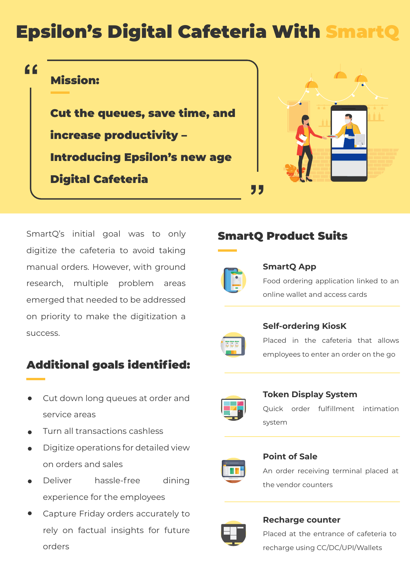# **Epsilon's Digital Cafeteria With Smart**

# **"**

# Mission:

Cut the queues, save time, and increase productivity – Introducing Epsilon's new age Digital Cafeteria



SmartQ's initial goal was to only digitize the cafeteria to avoid taking manual orders. However, with ground research, multiple problem areas emerged that needed to be addressed on priority to make the digitization a success.

# Additional goals identified:

- Cut down long queues at order and service areas
- Turn all transactions cashless
- Digitize operations for detailed view  $\bullet$ on orders and sales
- Deliver hassle-free dining experience for the employees
- Capture Friday orders accurately to rely on factual insights for future orders

# SmartQ Product Suits

**"**

**SmartQ App**



Food ordering application linked to an online wallet and access cards



#### **Self-ordering KiosK**

Placed in the cafeteria that allows employees to enter an order on the go



**Token Display System** 



Quick order fulfillment intimation system



**Point of Sale** An order receiving terminal placed at the vendor counters



#### **Recharge counter**

Placed at the entrance of cafeteria to recharge using CC/DC/UPI/Wallets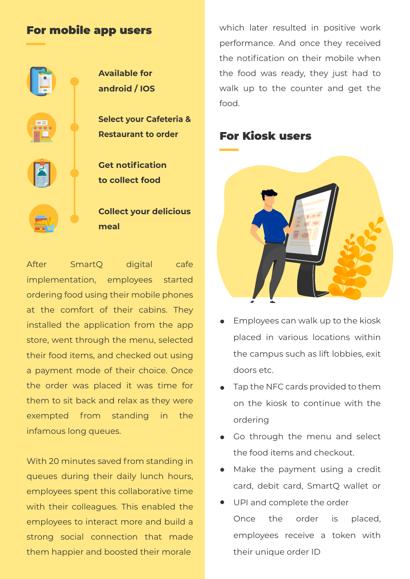#### For mobile app users



After SmartQ digital cafe implementation, employees started ordering food using their mobile phones at the comfort of their cabins. They installed the application from the app store, went through the menu, selected their food items, and checked out using a payment mode of their choice. Once the order was placed it was time for them to sit back and relax as they were exempted from standing in the infamous long queues.

With 20 minutes saved from standing in queues during their daily lunch hours, employees spent this collaborative time with their colleagues. This enabled the employees to interact more and build a strong social connection that made them happier and boosted their morale

which later resulted in positive work performance. And once they received the notification on their mobile when the food was ready, they just had to walk up to the counter and get the food.

# For Kiosk users



- Employees can walk up to the kiosk placed in various locations within the campus such as lift lobbies, exit doors etc.
- Tap the NFC cards provided to them on the kiosk to continue with the ordering
- Go through the menu and select the food items and checkout.
- Make the payment using a credit card, debit card, SmartQ wallet or
- UPI and complete the order Once the order is placed, employees receive a token with their unique order ID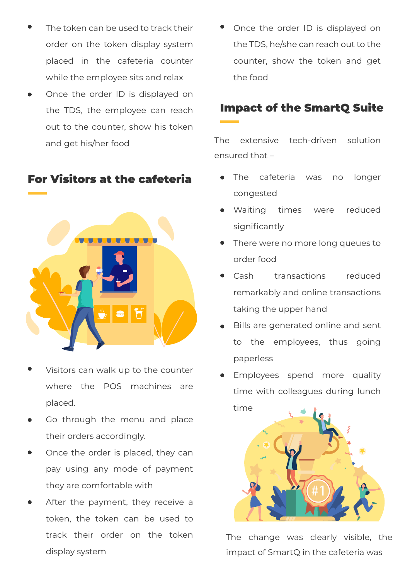- The token can be used to track their order on the token display system placed in the cafeteria counter while the employee sits and relax
- Once the order ID is displayed on the TDS, the employee can reach out to the counter, show his token and get his/her food

### For Visitors at the cafeteria



- Visitors can walk up to the counter where the POS machines are placed.
- Go through the menu and place their orders accordingly.
- Once the order is placed, they can pay using any mode of payment they are comfortable with
- After the payment, they receive a token, the token can be used to track their order on the token display system

• Once the order ID is displayed on the TDS, he/she can reach out to the counter, show the token and get the food

# Impact of the SmartQ Suite

The extensive tech-driven solution ensured that –

- The cafeteria was no longer congested
- Waiting times were reduced significantly
- There were no more long queues to order food
- Cash transactions reduced remarkably and online transactions taking the upper hand
- Bills are generated online and sent to the employees, thus going paperless
- Employees spend more quality time with colleagues during lunch time



The change was clearly visible, the impact of SmartQ in the cafeteria was